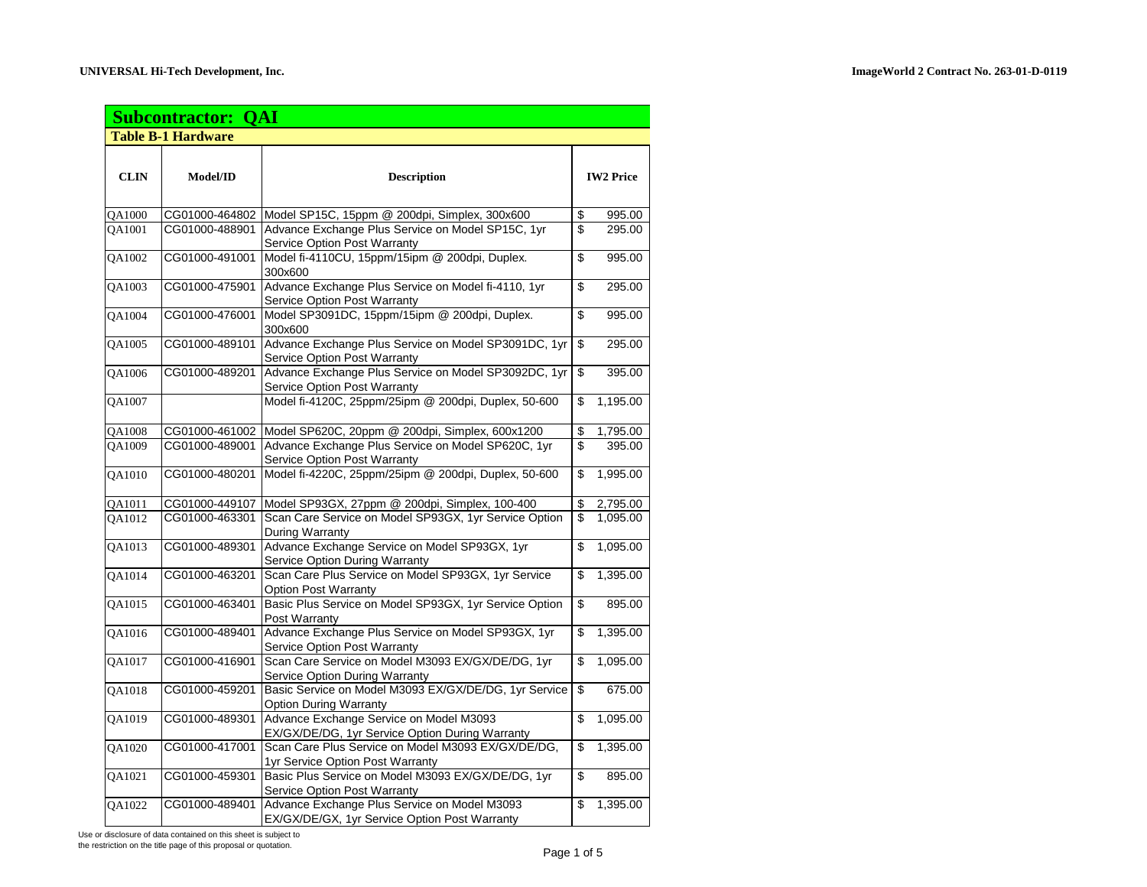|             | <b>Subcontractor: QAI</b> |                                                                                               |                  |          |
|-------------|---------------------------|-----------------------------------------------------------------------------------------------|------------------|----------|
|             | <b>Table B-1 Hardware</b> |                                                                                               |                  |          |
| <b>CLIN</b> | <b>Model/ID</b>           | <b>Description</b>                                                                            | <b>IW2 Price</b> |          |
| QA1000      | CG01000-464802            | Model SP15C, 15ppm @ 200dpi, Simplex, 300x600                                                 | \$               | 995.00   |
| QA1001      | CG01000-488901            | Advance Exchange Plus Service on Model SP15C, 1yr<br>Service Option Post Warranty             | \$               | 295.00   |
| QA1002      | CG01000-491001            | Model fi-4110CU, 15ppm/15ipm @ 200dpi, Duplex.<br>300x600                                     | \$               | 995.00   |
| QA1003      | CG01000-475901            | Advance Exchange Plus Service on Model fi-4110, 1yr<br>Service Option Post Warranty           | \$               | 295.00   |
| QA1004      | CG01000-476001            | Model SP3091DC, 15ppm/15ipm @ 200dpi, Duplex.<br>300x600                                      | $\overline{\$}$  | 995.00   |
| QA1005      | CG01000-489101            | Advance Exchange Plus Service on Model SP3091DC, 1yr<br>Service Option Post Warranty          | \$               | 295.00   |
| QA1006      | CG01000-489201            | Advance Exchange Plus Service on Model SP3092DC, 1yr<br><b>Service Option Post Warranty</b>   | $\overline{\$}$  | 395.00   |
| QA1007      |                           | Model fi-4120C, 25ppm/25ipm @ 200dpi, Duplex, 50-600                                          | \$               | 1,195.00 |
| QA1008      |                           | CG01000-461002 Model SP620C, 20ppm @ 200dpi, Simplex, 600x1200                                | \$               | 1,795.00 |
| QA1009      | CG01000-489001            | Advance Exchange Plus Service on Model SP620C, 1yr<br>Service Option Post Warranty            | \$               | 395.00   |
| QA1010      | CG01000-480201            | Model fi-4220C, 25ppm/25ipm @ 200dpi, Duplex, 50-600                                          | \$               | 1,995.00 |
| QA1011      | CG01000-449107            | Model SP93GX, 27ppm @ 200dpi, Simplex, 100-400                                                | \$               | 2,795.00 |
| QA1012      | CG01000-463301            | Scan Care Service on Model SP93GX, 1yr Service Option<br>During Warranty                      | \$               | 1,095.00 |
| QA1013      | CG01000-489301            | Advance Exchange Service on Model SP93GX, 1yr<br>Service Option During Warranty               | \$               | 1,095.00 |
| QA1014      | CG01000-463201            | Scan Care Plus Service on Model SP93GX, 1yr Service<br><b>Option Post Warranty</b>            | \$               | 1,395.00 |
| QA1015      | CG01000-463401            | Basic Plus Service on Model SP93GX, 1yr Service Option<br>Post Warranty                       | \$               | 895.00   |
| QA1016      | CG01000-489401            | Advance Exchange Plus Service on Model SP93GX, 1yr<br>Service Option Post Warranty            | \$               | 1,395.00 |
| QA1017      | CG01000-416901            | Scan Care Service on Model M3093 EX/GX/DE/DG, 1yr<br>Service Option During Warranty           | \$               | 1,095.00 |
| QA1018      | CG01000-459201            | Basic Service on Model M3093 EX/GX/DE/DG, 1yr Service<br><b>Option During Warranty</b>        | s,               | 675.00   |
| QA1019      | CG01000-489301            | Advance Exchange Service on Model M3093<br>EX/GX/DE/DG, 1yr Service Option During Warranty    | \$               | 1,095.00 |
| QA1020      | CG01000-417001            | Scan Care Plus Service on Model M3093 EX/GX/DE/DG.<br>1yr Service Option Post Warranty        | \$               | 1,395.00 |
| QA1021      | CG01000-459301            | Basic Plus Service on Model M3093 EX/GX/DE/DG, 1yr<br><b>Service Option Post Warranty</b>     | \$               | 895.00   |
| QA1022      | CG01000-489401            | Advance Exchange Plus Service on Model M3093<br>EX/GX/DE/GX, 1yr Service Option Post Warranty | \$               | 1,395.00 |

Use or disclosure of data contained on this sheet is subject to

the restriction on the title page of this proposal or quotation.<br>
Page 1 of 5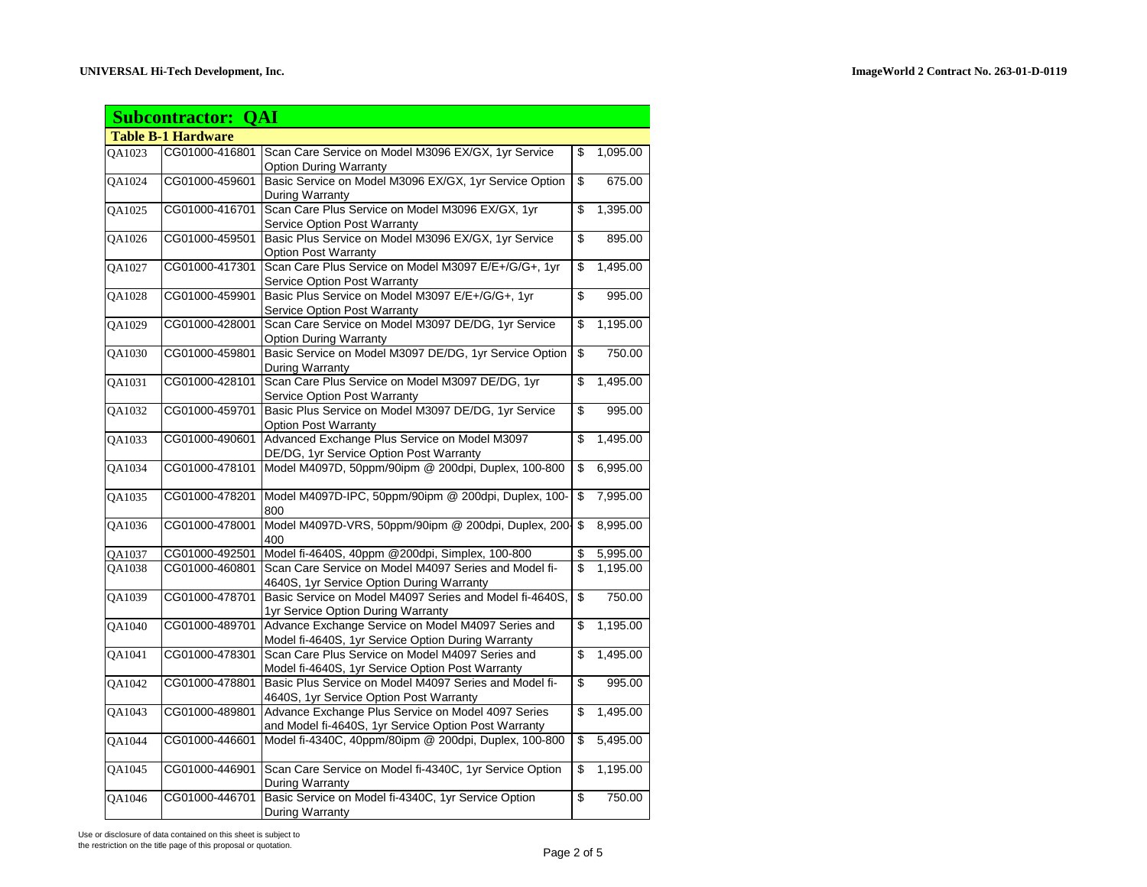|        | <b>Subcontractor: QAI</b> |                                                         |                |
|--------|---------------------------|---------------------------------------------------------|----------------|
|        | <b>Table B-1 Hardware</b> |                                                         |                |
| QA1023 | CG01000-416801            | Scan Care Service on Model M3096 EX/GX, 1yr Service     | \$<br>1,095.00 |
|        |                           | <b>Option During Warranty</b>                           |                |
| QA1024 | CG01000-459601            | Basic Service on Model M3096 EX/GX, 1yr Service Option  | \$<br>675.00   |
|        |                           | During Warranty                                         |                |
| QA1025 | CG01000-416701            | Scan Care Plus Service on Model M3096 EX/GX, 1yr        | \$<br>1,395.00 |
|        |                           | Service Option Post Warranty                            |                |
| QA1026 | CG01000-459501            | Basic Plus Service on Model M3096 EX/GX, 1yr Service    | \$<br>895.00   |
|        |                           | <b>Option Post Warranty</b>                             |                |
| QA1027 | CG01000-417301            | Scan Care Plus Service on Model M3097 E/E+/G/G+, 1yr    | \$<br>1,495.00 |
|        |                           | Service Option Post Warranty                            |                |
| QA1028 | CG01000-459901            | Basic Plus Service on Model M3097 E/E+/G/G+, 1yr        | \$<br>995.00   |
|        |                           | Service Option Post Warranty                            |                |
| QA1029 | CG01000-428001            | Scan Care Service on Model M3097 DE/DG, 1yr Service     | \$<br>1,195.00 |
|        |                           | <b>Option During Warranty</b>                           |                |
| QA1030 | CG01000-459801            | Basic Service on Model M3097 DE/DG, 1yr Service Option  | \$<br>750.00   |
|        |                           | During Warranty                                         |                |
| QA1031 | CG01000-428101            | Scan Care Plus Service on Model M3097 DE/DG, 1yr        | \$<br>1,495.00 |
|        |                           | Service Option Post Warranty                            |                |
| QA1032 | CG01000-459701            | Basic Plus Service on Model M3097 DE/DG, 1yr Service    | \$<br>995.00   |
|        |                           | Option Post Warranty                                    |                |
| QA1033 | CG01000-490601            | Advanced Exchange Plus Service on Model M3097           | \$<br>1,495.00 |
|        |                           | DE/DG, 1yr Service Option Post Warranty                 |                |
| QA1034 | CG01000-478101            | Model M4097D, 50ppm/90ipm @ 200dpi, Duplex, 100-800     | \$<br>6,995.00 |
|        |                           |                                                         |                |
| OA1035 | CG01000-478201            | Model M4097D-IPC, 50ppm/90ipm @ 200dpi, Duplex, 100-    | \$<br>7,995.00 |
|        |                           | 800                                                     |                |
| OA1036 | CG01000-478001            | Model M4097D-VRS, 50ppm/90ipm @ 200dpi, Duplex, 200-    | \$<br>8,995.00 |
|        |                           | 400                                                     |                |
| QA1037 | CG01000-492501            | Model fi-4640S, 40ppm @200dpi, Simplex, 100-800         | \$<br>5,995.00 |
| QA1038 | CG01000-460801            | Scan Care Service on Model M4097 Series and Model fi-   | \$<br>1,195.00 |
|        |                           | 4640S, 1yr Service Option During Warranty               |                |
| QA1039 | CG01000-478701            | Basic Service on Model M4097 Series and Model fi-4640S, | \$<br>750.00   |
|        |                           | 1yr Service Option During Warranty                      |                |
| QA1040 | CG01000-489701            | Advance Exchange Service on Model M4097 Series and      | \$<br>1,195.00 |
|        |                           | Model fi-4640S, 1yr Service Option During Warranty      |                |
| QA1041 | CG01000-478301            | Scan Care Plus Service on Model M4097 Series and        | \$<br>1,495.00 |
|        |                           | Model fi-4640S, 1yr Service Option Post Warranty        |                |
| QA1042 | CG01000-478801            | Basic Plus Service on Model M4097 Series and Model fi-  | \$<br>995.00   |
|        |                           | 4640S, 1yr Service Option Post Warranty                 |                |
| QA1043 | CG01000-489801            | Advance Exchange Plus Service on Model 4097 Series      | \$<br>1,495.00 |
|        |                           | and Model fi-4640S, 1yr Service Option Post Warranty    |                |
| OA1044 | CG01000-446601            | Model fi-4340C, 40ppm/80ipm @ 200dpi, Duplex, 100-800   | \$<br>5,495.00 |
|        |                           |                                                         |                |
| QA1045 | CG01000-446901            | Scan Care Service on Model fi-4340C, 1yr Service Option | \$<br>1,195.00 |
|        |                           | During Warranty                                         |                |
| QA1046 | CG01000-446701            | Basic Service on Model fi-4340C, 1yr Service Option     | \$<br>750.00   |
|        |                           | During Warranty                                         |                |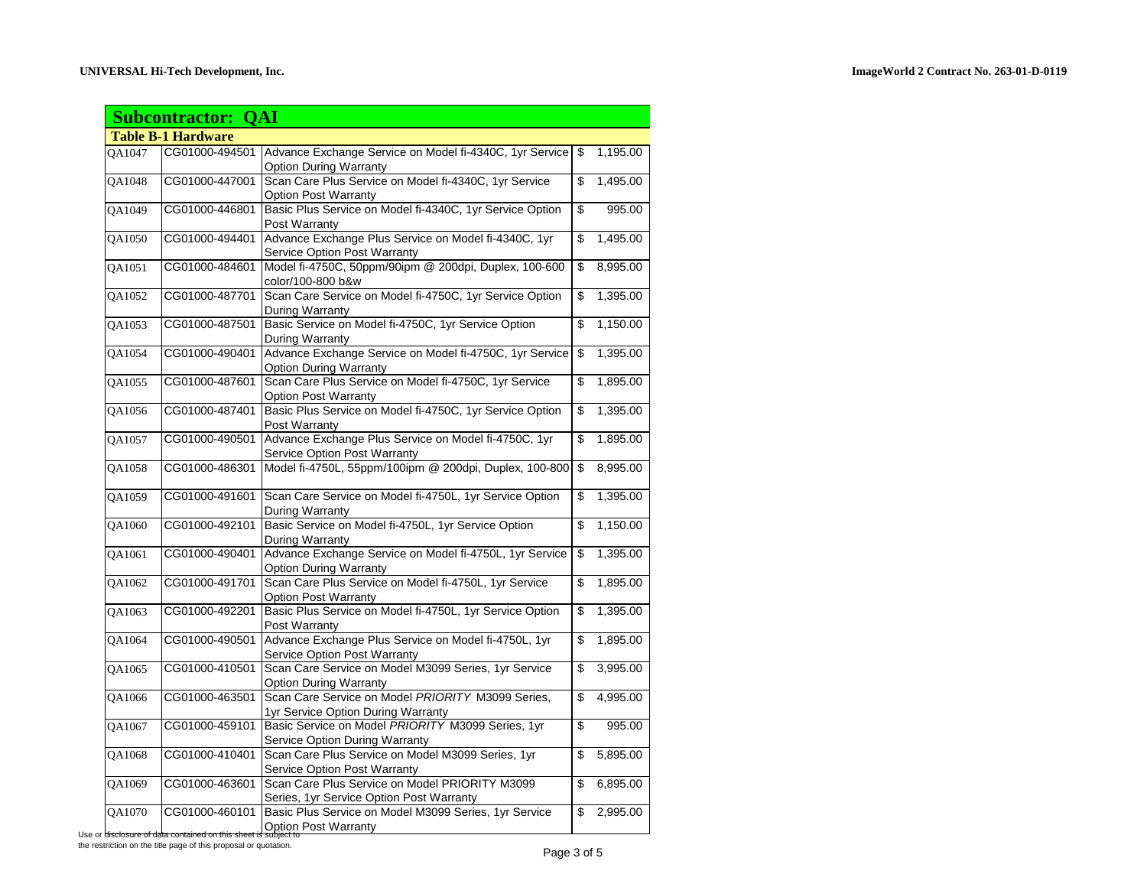|                           | <b>Subcontractor: QAI</b> |                                                                                             |    |          |  |
|---------------------------|---------------------------|---------------------------------------------------------------------------------------------|----|----------|--|
| <b>Table B-1 Hardware</b> |                           |                                                                                             |    |          |  |
| OA1047                    | CG01000-494501            | Advance Exchange Service on Model fi-4340C, 1yr Service<br><b>Option During Warranty</b>    | \$ | 1,195.00 |  |
| QA1048                    | CG01000-447001            | Scan Care Plus Service on Model fi-4340C, 1yr Service<br><b>Option Post Warranty</b>        | \$ | 1,495.00 |  |
| QA1049                    | CG01000-446801            | Basic Plus Service on Model fi-4340C, 1yr Service Option<br>Post Warranty                   | \$ | 995.00   |  |
| OA1050                    | CG01000-494401            | Advance Exchange Plus Service on Model fi-4340C, 1yr<br>Service Option Post Warranty        | \$ | 1,495.00 |  |
| QA1051                    | CG01000-484601            | Model fi-4750C, 50ppm/90ipm @ 200dpi, Duplex, 100-600<br>color/100-800 b&w                  | \$ | 8,995.00 |  |
| QA1052                    | CG01000-487701            | Scan Care Service on Model fi-4750C, 1yr Service Option<br>During Warranty                  | \$ | 1,395.00 |  |
| QA1053                    | CG01000-487501            | Basic Service on Model fi-4750C, 1yr Service Option<br>During Warranty                      | \$ | 1,150.00 |  |
| QA1054                    | CG01000-490401            | Advance Exchange Service on Model fi-4750C, 1yr Service<br><b>Option During Warranty</b>    | \$ | 1,395.00 |  |
| QA1055                    | CG01000-487601            | Scan Care Plus Service on Model fi-4750C, 1yr Service<br><b>Option Post Warranty</b>        | \$ | 1,895.00 |  |
| QA1056                    | CG01000-487401            | Basic Plus Service on Model fi-4750C, 1yr Service Option<br>Post Warranty                   | \$ | 1,395.00 |  |
| QA1057                    | CG01000-490501            | Advance Exchange Plus Service on Model fi-4750C, 1yr<br>Service Option Post Warranty        | \$ | 1,895.00 |  |
| QA1058                    | CG01000-486301            | Model fi-4750L, 55ppm/100ipm @ 200dpi, Duplex, 100-800                                      | \$ | 8,995.00 |  |
| QA1059                    | CG01000-491601            | Scan Care Service on Model fi-4750L, 1yr Service Option<br>During Warranty                  | \$ | 1,395.00 |  |
| QA1060                    | CG01000-492101            | Basic Service on Model fi-4750L, 1yr Service Option<br>During Warranty                      | \$ | 1,150.00 |  |
| QA1061                    | CG01000-490401            | Advance Exchange Service on Model fi-4750L, 1yr Service<br><b>Option During Warranty</b>    | \$ | 1,395.00 |  |
| QA1062                    | CG01000-491701            | Scan Care Plus Service on Model fi-4750L, 1yr Service<br><b>Option Post Warranty</b>        | \$ | 1,895.00 |  |
| QA1063                    | CG01000-492201            | Basic Plus Service on Model fi-4750L, 1yr Service Option<br>Post Warranty                   | \$ | 1,395.00 |  |
| QA1064                    | CG01000-490501            | Advance Exchange Plus Service on Model fi-4750L, 1yr<br><b>Service Option Post Warranty</b> | \$ | 1,895.00 |  |
| QA1065                    | CG01000-410501            | Scan Care Service on Model M3099 Series, 1yr Service<br><b>Option During Warranty</b>       | \$ | 3,995.00 |  |
| QA1066                    | CG01000-463501            | Scan Care Service on Model PRIORITY M3099 Series,<br>1yr Service Option During Warranty     | \$ | 4,995.00 |  |
| QA1067                    | CG01000-459101            | Basic Service on Model PRIORITY M3099 Series, 1yr<br>Service Option During Warranty         | \$ | 995.00   |  |
| QA1068                    | CG01000-410401            | Scan Care Plus Service on Model M3099 Series, 1yr<br>Service Option Post Warranty           | \$ | 5,895.00 |  |
| QA1069                    | CG01000-463601            | Scan Care Plus Service on Model PRIORITY M3099<br>Series, 1yr Service Option Post Warranty  | \$ | 6,895.00 |  |
| QA1070                    | CG01000-460101            | Basic Plus Service on Model M3099 Series, 1yr Service<br><b>Option Post Warranty</b>        | \$ | 2,995.00 |  |

Use or disclosure of da the restriction on the title page of this proposal or quotation.<br>
Page 3 of 5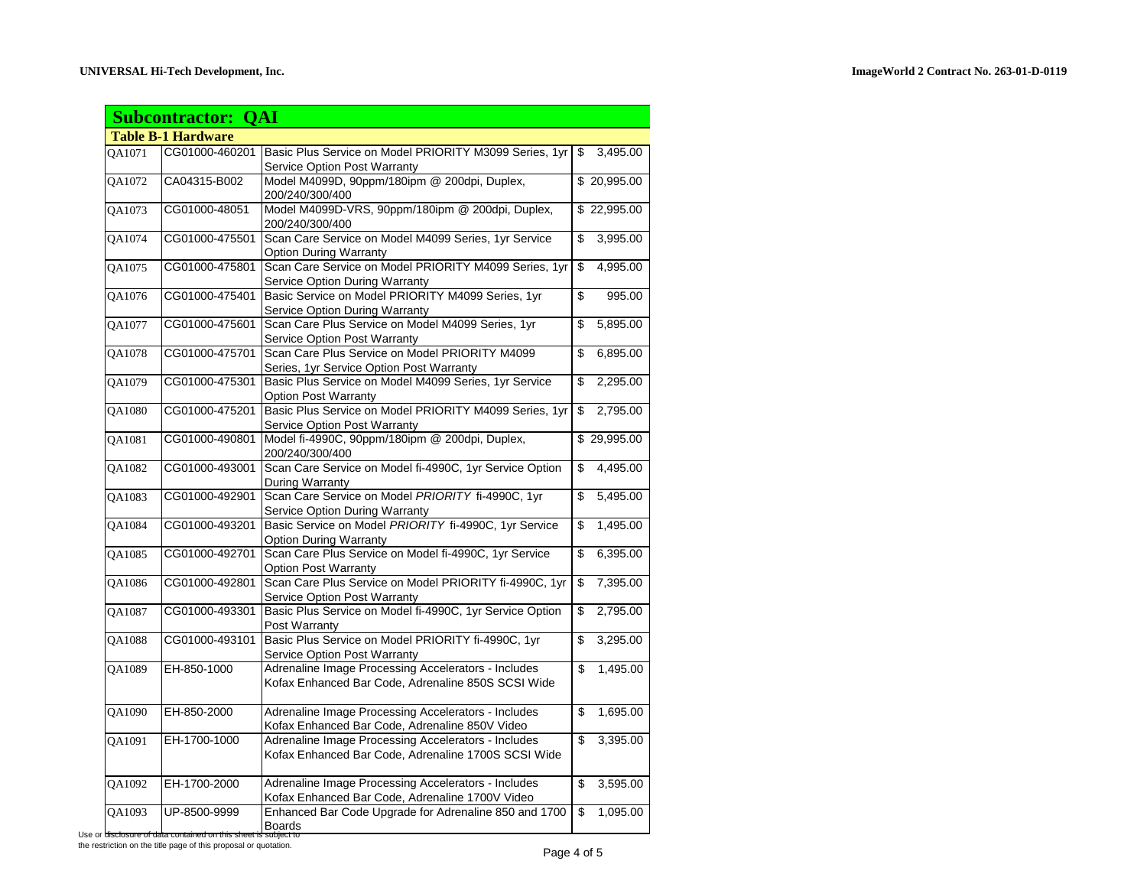|               | <b>Subcontractor: QAI</b> |                                                                                        |                       |             |
|---------------|---------------------------|----------------------------------------------------------------------------------------|-----------------------|-------------|
|               | <b>Table B-1 Hardware</b> |                                                                                        |                       |             |
| OA1071        | CG01000-460201            | Basic Plus Service on Model PRIORITY M3099 Series, 1yr                                 | \$                    | 3,495.00    |
|               |                           | <b>Service Option Post Warranty</b>                                                    |                       |             |
| QA1072        | CA04315-B002              | Model M4099D, 90ppm/180ipm @ 200dpi, Duplex,                                           |                       | \$20,995.00 |
|               |                           | 200/240/300/400                                                                        |                       |             |
| OA1073        | CG01000-48051             | Model M4099D-VRS, 90ppm/180ipm @ 200dpi, Duplex,                                       |                       | \$22,995.00 |
|               |                           | 200/240/300/400                                                                        |                       |             |
| QA1074        | CG01000-475501            | Scan Care Service on Model M4099 Series, 1yr Service                                   | \$                    | 3,995.00    |
|               |                           | <b>Option During Warranty</b>                                                          |                       |             |
| QA1075        | CG01000-475801            | Scan Care Service on Model PRIORITY M4099 Series, 1yr                                  | \$                    | 4,995.00    |
|               |                           | Service Option During Warranty                                                         |                       |             |
| QA1076        | CG01000-475401            | Basic Service on Model PRIORITY M4099 Series, 1yr                                      | \$                    | 995.00      |
|               |                           | <b>Service Option During Warranty</b>                                                  |                       |             |
| <b>OA1077</b> | CG01000-475601            | Scan Care Plus Service on Model M4099 Series, 1yr                                      | \$                    | 5,895.00    |
|               |                           | <b>Service Option Post Warranty</b>                                                    |                       |             |
| QA1078        | CG01000-475701            | Scan Care Plus Service on Model PRIORITY M4099                                         | \$                    | 6,895.00    |
|               |                           | Series, 1yr Service Option Post Warranty                                               |                       |             |
| QA1079        | CG01000-475301            | Basic Plus Service on Model M4099 Series, 1yr Service                                  | \$                    | 2,295.00    |
|               |                           | <b>Option Post Warranty</b>                                                            |                       |             |
| QA1080        | CG01000-475201            | Basic Plus Service on Model PRIORITY M4099 Series, 1yr                                 | \$                    | 2,795.00    |
|               |                           | Service Option Post Warranty                                                           |                       |             |
| QA1081        | CG01000-490801            | Model fi-4990C, 90ppm/180ipm @ 200dpi, Duplex,                                         |                       | \$29,995.00 |
|               |                           | 200/240/300/400                                                                        |                       |             |
| QA1082        | CG01000-493001            | Scan Care Service on Model fi-4990C, 1yr Service Option                                | \$                    | 4,495.00    |
|               |                           | During Warranty                                                                        |                       |             |
| QA1083        | CG01000-492901            | Scan Care Service on Model PRIORITY fi-4990C, 1yr                                      | \$                    | 5,495.00    |
|               |                           | Service Option During Warranty                                                         |                       |             |
| QA1084        | CG01000-493201            | Basic Service on Model PRIORITY fi-4990C, 1yr Service                                  | \$                    | 1,495.00    |
|               |                           | <b>Option During Warranty</b><br>Scan Care Plus Service on Model fi-4990C, 1yr Service |                       |             |
| QA1085        | CG01000-492701            |                                                                                        | $\boldsymbol{\theta}$ | 6,395.00    |
| QA1086        | CG01000-492801            | Option Post Warranty<br>Scan Care Plus Service on Model PRIORITY fi-4990C, 1yr         | \$                    | 7,395.00    |
|               |                           | Service Option Post Warranty                                                           |                       |             |
| QA1087        | CG01000-493301            | Basic Plus Service on Model fi-4990C, 1yr Service Option                               | \$                    | 2,795.00    |
|               |                           | Post Warranty                                                                          |                       |             |
| QA1088        | CG01000-493101            | Basic Plus Service on Model PRIORITY fi-4990C, 1yr                                     | \$                    | 3,295.00    |
|               |                           | <b>Service Option Post Warranty</b>                                                    |                       |             |
| QA1089        | EH-850-1000               | Adrenaline Image Processing Accelerators - Includes                                    | \$                    | 1,495.00    |
|               |                           | Kofax Enhanced Bar Code, Adrenaline 850S SCSI Wide                                     |                       |             |
|               |                           |                                                                                        |                       |             |
| QA1090        | EH-850-2000               | Adrenaline Image Processing Accelerators - Includes                                    | \$                    | 1,695.00    |
|               |                           | Kofax Enhanced Bar Code, Adrenaline 850V Video                                         |                       |             |
| OA1091        | EH-1700-1000              | Adrenaline Image Processing Accelerators - Includes                                    | \$                    | 3,395.00    |
|               |                           | Kofax Enhanced Bar Code, Adrenaline 1700S SCSI Wide                                    |                       |             |
|               |                           |                                                                                        |                       |             |
| QA1092        | EH-1700-2000              | Adrenaline Image Processing Accelerators - Includes                                    | \$                    | 3,595.00    |
|               |                           | Kofax Enhanced Bar Code, Adrenaline 1700V Video                                        |                       |             |
| QA1093        | UP-8500-9999              | Enhanced Bar Code Upgrade for Adrenaline 850 and 1700                                  | \$                    | 1,095.00    |
|               |                           | <b>Boards</b>                                                                          |                       |             |

Use or dis the restriction on the title page of this proposal or quotation.<br>
Page 4 of 5